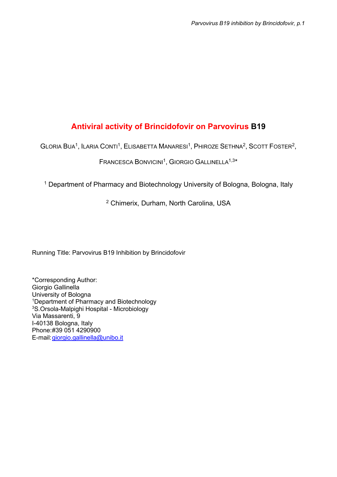# Antiviral activity of Brincidofovir on Parvovirus B19

GLORIA BUA<sup>1</sup>, ILARIA CONTI<sup>1</sup>, ELISABETTA MANARESI<sup>1</sup>, PHIROZE SETHNA<sup>2</sup>, SCOTT FOSTER<sup>2</sup>,

## FRANCESCA BONVICINI<sup>1</sup>, GIORGIO GALLINELLA<sup>1,3\*</sup>

<sup>1</sup> Department of Pharmacy and Biotechnology University of Bologna, Bologna, Italy

2 Chimerix, Durham, North Carolina, USA

Running Title: Parvovirus B19 Inhibition by Brincidofovir

\*Corresponding Author: Giorgio Gallinella University of Bologna <sup>1</sup>Department of Pharmacy and Biotechnology <sup>3</sup>S.Orsola-Malpighi Hospital - Microbiology Via Massarenti, 9 I-40138 Bologna, Italy Phone: #39 051 4290900 E-mail: giorgio.gallinella@unibo.it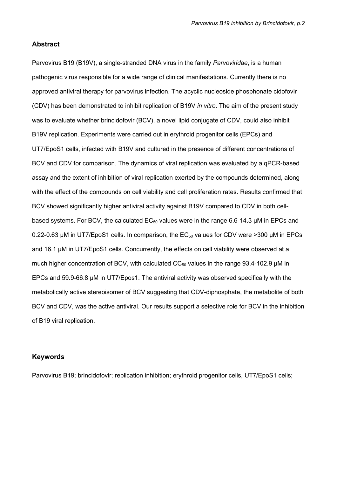## Abstract

Parvovirus B19 (B19V), a single-stranded DNA virus in the family Parvoviridae, is a human pathogenic virus responsible for a wide range of clinical manifestations. Currently there is no approved antiviral therapy for parvovirus infection. The acyclic nucleoside phosphonate cidofovir (CDV) has been demonstrated to inhibit replication of B19V in vitro. The aim of the present study was to evaluate whether brincidofovir (BCV), a novel lipid conjugate of CDV, could also inhibit B19V replication. Experiments were carried out in erythroid progenitor cells (EPCs) and UT7/EpoS1 cells, infected with B19V and cultured in the presence of different concentrations of BCV and CDV for comparison. The dynamics of viral replication was evaluated by a qPCR-based assay and the extent of inhibition of viral replication exerted by the compounds determined, along with the effect of the compounds on cell viability and cell proliferation rates. Results confirmed that BCV showed significantly higher antiviral activity against B19V compared to CDV in both cellbased systems. For BCV, the calculated  $EC_{50}$  values were in the range 6.6-14.3 µM in EPCs and 0.22-0.63  $\mu$ M in UT7/EpoS1 cells. In comparison, the EC<sub>50</sub> values for CDV were >300  $\mu$ M in EPCs and 16.1 µM in UT7/EpoS1 cells. Concurrently, the effects on cell viability were observed at a much higher concentration of BCV, with calculated  $CC_{50}$  values in the range 93.4-102.9  $\mu$ M in EPCs and 59.9-66.8 µM in UT7/Epos1. The antiviral activity was observed specifically with the metabolically active stereoisomer of BCV suggesting that CDV-diphosphate, the metabolite of both BCV and CDV, was the active antiviral. Our results support a selective role for BCV in the inhibition of B19 viral replication.

## Keywords

Parvovirus B19; brincidofovir; replication inhibition; erythroid progenitor cells, UT7/EpoS1 cells;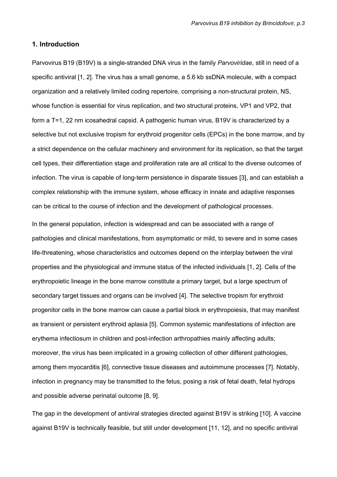### 1. Introduction

Parvovirus B19 (B19V) is a single-stranded DNA virus in the family Parvoviridae, still in need of a specific antiviral [1, 2]. The virus has a small genome, a 5.6 kb ssDNA molecule, with a compact organization and a relatively limited coding repertoire, comprising a non-structural protein, NS, whose function is essential for virus replication, and two structural proteins, VP1 and VP2, that form a T=1, 22 nm icosahedral capsid. A pathogenic human virus, B19V is characterized by a selective but not exclusive tropism for erythroid progenitor cells (EPCs) in the bone marrow, and by a strict dependence on the cellular machinery and environment for its replication, so that the target cell types, their differentiation stage and proliferation rate are all critical to the diverse outcomes of infection. The virus is capable of long-term persistence in disparate tissues [3], and can establish a complex relationship with the immune system, whose efficacy in innate and adaptive responses can be critical to the course of infection and the development of pathological processes.

In the general population, infection is widespread and can be associated with a range of pathologies and clinical manifestations, from asymptomatic or mild, to severe and in some cases life-threatening, whose characteristics and outcomes depend on the interplay between the viral properties and the physiological and immune status of the infected individuals [1, 2]. Cells of the erythropoietic lineage in the bone marrow constitute a primary target, but a large spectrum of secondary target tissues and organs can be involved [4]. The selective tropism for erythroid progenitor cells in the bone marrow can cause a partial block in erythropoiesis, that may manifest as transient or persistent erythroid aplasia [5]. Common systemic manifestations of infection are erythema infectiosum in children and post-infection arthropathies mainly affecting adults; moreover, the virus has been implicated in a growing collection of other different pathologies, among them myocarditis [6], connective tissue diseases and autoimmune processes [7]. Notably, infection in pregnancy may be transmitted to the fetus, posing a risk of fetal death, fetal hydrops and possible adverse perinatal outcome [8, 9].

The gap in the development of antiviral strategies directed against B19V is striking [10]. A vaccine against B19V is technically feasible, but still under development [11, 12], and no specific antiviral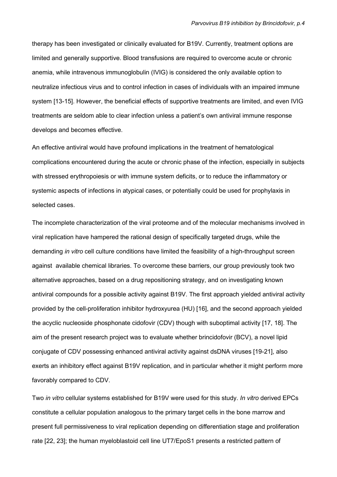therapy has been investigated or clinically evaluated for B19V. Currently, treatment options are limited and generally supportive. Blood transfusions are required to overcome acute or chronic anemia, while intravenous immunoglobulin (IVIG) is considered the only available option to neutralize infectious virus and to control infection in cases of individuals with an impaired immune system [13-15]. However, the beneficial effects of supportive treatments are limited, and even IVIG treatments are seldom able to clear infection unless a patient's own antiviral immune response develops and becomes effective.

An effective antiviral would have profound implications in the treatment of hematological complications encountered during the acute or chronic phase of the infection, especially in subjects with stressed erythropoiesis or with immune system deficits, or to reduce the inflammatory or systemic aspects of infections in atypical cases, or potentially could be used for prophylaxis in selected cases.

The incomplete characterization of the viral proteome and of the molecular mechanisms involved in viral replication have hampered the rational design of specifically targeted drugs, while the demanding *in vitro* cell culture conditions have limited the feasibility of a high-throughput screen against available chemical libraries. To overcome these barriers, our group previously took two alternative approaches, based on a drug repositioning strategy, and on investigating known antiviral compounds for a possible activity against B19V. The first approach yielded antiviral activity provided by the cell-proliferation inhibitor hydroxyurea (HU) [16], and the second approach yielded the acyclic nucleoside phosphonate cidofovir (CDV) though with suboptimal activity [17, 18]. The aim of the present research project was to evaluate whether brincidofovir (BCV), a novel lipid conjugate of CDV possessing enhanced antiviral activity against dsDNA viruses [19-21], also exerts an inhibitory effect against B19V replication, and in particular whether it might perform more favorably compared to CDV.

Two in vitro cellular systems established for B19V were used for this study. In vitro derived EPCs constitute a cellular population analogous to the primary target cells in the bone marrow and present full permissiveness to viral replication depending on differentiation stage and proliferation rate [22, 23]; the human myeloblastoid cell line UT7/EpoS1 presents a restricted pattern of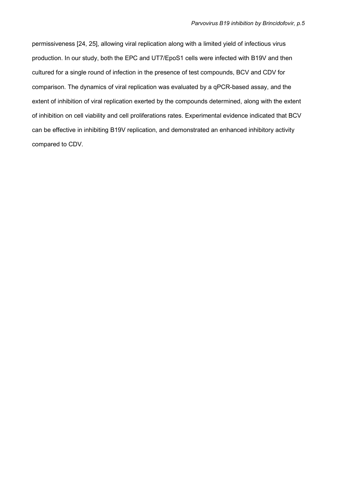permissiveness [24, 25], allowing viral replication along with a limited yield of infectious virus production. In our study, both the EPC and UT7/EpoS1 cells were infected with B19V and then cultured for a single round of infection in the presence of test compounds, BCV and CDV for comparison. The dynamics of viral replication was evaluated by a qPCR-based assay, and the extent of inhibition of viral replication exerted by the compounds determined, along with the extent of inhibition on cell viability and cell proliferations rates. Experimental evidence indicated that BCV can be effective in inhibiting B19V replication, and demonstrated an enhanced inhibitory activity compared to CDV.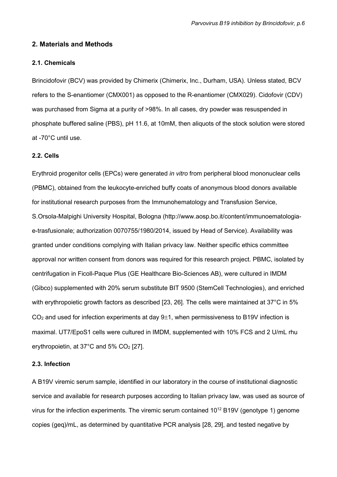### 2. Materials and Methods

#### 2.1. Chemicals

Brincidofovir (BCV) was provided by Chimerix (Chimerix, Inc., Durham, USA). Unless stated, BCV refers to the S-enantiomer (CMX001) as opposed to the R-enantiomer (CMX029). Cidofovir (CDV) was purchased from Sigma at a purity of >98%. In all cases, dry powder was resuspended in phosphate buffered saline (PBS), pH 11.6, at 10mM, then aliquots of the stock solution were stored at -70°C until use.

#### 2.2. Cells

Erythroid progenitor cells (EPCs) were generated in vitro from peripheral blood mononuclear cells (PBMC), obtained from the leukocyte-enriched buffy coats of anonymous blood donors available for institutional research purposes from the Immunohematology and Transfusion Service, S.Orsola-Malpighi University Hospital, Bologna (http://www.aosp.bo.it/content/immunoematologiae-trasfusionale; authorization 0070755/1980/2014, issued by Head of Service). Availability was granted under conditions complying with Italian privacy law. Neither specific ethics committee approval nor written consent from donors was required for this research project. PBMC, isolated by centrifugation in Ficoll-Paque Plus (GE Healthcare Bio-Sciences AB), were cultured in IMDM (Gibco) supplemented with 20% serum substitute BIT 9500 (StemCell Technologies), and enriched with erythropoietic growth factors as described [23, 26]. The cells were maintained at 37°C in 5%  $CO<sub>2</sub>$  and used for infection experiments at day  $9±1$ , when permissiveness to B19V infection is maximal. UT7/EpoS1 cells were cultured in IMDM, supplemented with 10% FCS and 2 U/mL rhu erythropoietin, at  $37^{\circ}$ C and  $5\%$  CO<sub>2</sub> [27].

#### 2.3. Infection

A B19V viremic serum sample, identified in our laboratory in the course of institutional diagnostic service and available for research purposes according to Italian privacy law, was used as source of virus for the infection experiments. The viremic serum contained 10<sup>12</sup> B19V (genotype 1) genome copies (geq)/mL, as determined by quantitative PCR analysis [28, 29], and tested negative by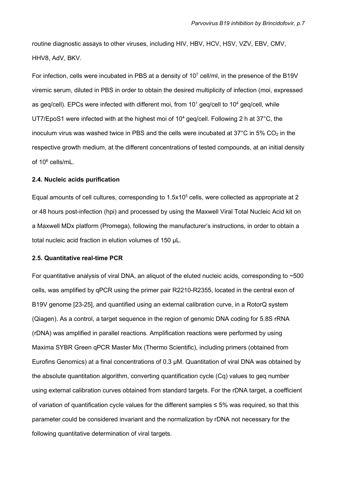routine diagnostic assays to other viruses, including HIV, HBV, HCV, HSV, VZV, EBV, CMV, HHV8, AdV, BKV.

For infection, cells were incubated in PBS at a density of  $10<sup>7</sup>$  cell/ml, in the presence of the B19V viremic serum, diluted in PBS in order to obtain the desired multiplicity of infection (moi, expressed as geq/cell). EPCs were infected with different moi, from  $10^1$  geq/cell to  $10^4$  geq/cell, while UT7/EpoS1 were infected with at the highest moi of 10<sup>4</sup> geq/cell. Following 2 h at 37°C, the inoculum virus was washed twice in PBS and the cells were incubated at  $37^{\circ}$ C in  $5\%$  CO<sub>2</sub> in the respective growth medium, at the different concentrations of tested compounds, at an initial density of 10<sup>6</sup> cells/mL.

#### 2.4. Nucleic acids purification

Equal amounts of cell cultures, corresponding to 1.5x10<sup>5</sup> cells, were collected as appropriate at 2 or 48 hours post-infection (hpi) and processed by using the Maxwell Viral Total Nucleic Acid kit on a Maxwell MDx platform (Promega), following the manufacturer's instructions, in order to obtain a total nucleic acid fraction in elution volumes of 150 µL.

#### 2.5. Quantitative real-time PCR

For quantitative analysis of viral DNA, an aliquot of the eluted nucleic acids, corresponding to  $\sim$  500 cells, was amplified by qPCR using the primer pair R2210-R2355, located in the central exon of B19V genome [23-25], and quantified using an external calibration curve, in a RotorQ system (Qiagen). As a control, a target sequence in the region of genomic DNA coding for 5.8S rRNA (rDNA) was amplified in parallel reactions. Amplification reactions were performed by using Maxima SYBR Green qPCR Master Mix (Thermo Scientific), including primers (obtained from Eurofins Genomics) at a final concentrations of 0.3 µM. Quantitation of viral DNA was obtained by the absolute quantitation algorithm, converting quantification cycle (Cq) values to geq number using external calibration curves obtained from standard targets. For the rDNA target, a coefficient of variation of quantification cycle values for the different samples  $\leq 5\%$  was required, so that this parameter could be considered invariant and the normalization by rDNA not necessary for the following quantitative determination of viral targets.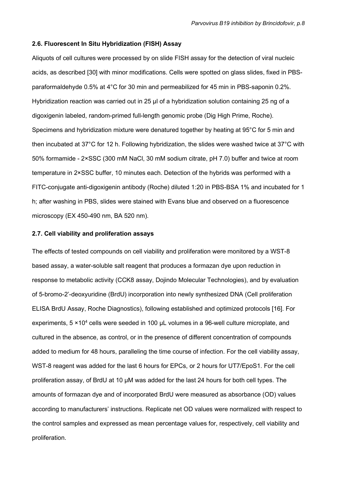#### 2.6. Fluorescent In Situ Hybridization (FISH) Assay

Aliquots of cell cultures were processed by on slide FISH assay for the detection of viral nucleic acids, as described [30] with minor modifications. Cells were spotted on glass slides, fixed in PBSparaformaldehyde 0.5% at 4°C for 30 min and permeabilized for 45 min in PBS-saponin 0.2%. Hybridization reaction was carried out in 25 µl of a hybridization solution containing 25 ng of a digoxigenin labeled, random-primed full-length genomic probe (Dig High Prime, Roche). Specimens and hybridization mixture were denatured together by heating at 95°C for 5 min and then incubated at 37°C for 12 h. Following hybridization, the slides were washed twice at 37°C with 50% formamide - 2×SSC (300 mM NaCl, 30 mM sodium citrate, pH 7.0) buffer and twice at room temperature in 2×SSC buffer, 10 minutes each. Detection of the hybrids was performed with a FITC-conjugate anti-digoxigenin antibody (Roche) diluted 1:20 in PBS-BSA 1% and incubated for 1 h; after washing in PBS, slides were stained with Evans blue and observed on a fluorescence microscopy (EX 450-490 nm, BA 520 nm).

#### 2.7. Cell viability and proliferation assays

The effects of tested compounds on cell viability and proliferation were monitored by a WST-8 based assay, a water-soluble salt reagent that produces a formazan dye upon reduction in response to metabolic activity (CCK8 assay, Dojindo Molecular Technologies), and by evaluation of 5-bromo-2'-deoxyuridine (BrdU) incorporation into newly synthesized DNA (Cell proliferation ELISA BrdU Assay, Roche Diagnostics), following established and optimized protocols [16]. For experiments,  $5 \times 10^4$  cells were seeded in 100  $\mu$ L volumes in a 96-well culture microplate, and cultured in the absence, as control, or in the presence of different concentration of compounds added to medium for 48 hours, paralleling the time course of infection. For the cell viability assay, WST-8 reagent was added for the last 6 hours for EPCs, or 2 hours for UT7/EpoS1. For the cell proliferation assay, of BrdU at 10 µM was added for the last 24 hours for both cell types. The amounts of formazan dye and of incorporated BrdU were measured as absorbance (OD) values according to manufacturers' instructions. Replicate net OD values were normalized with respect to the control samples and expressed as mean percentage values for, respectively, cell viability and proliferation.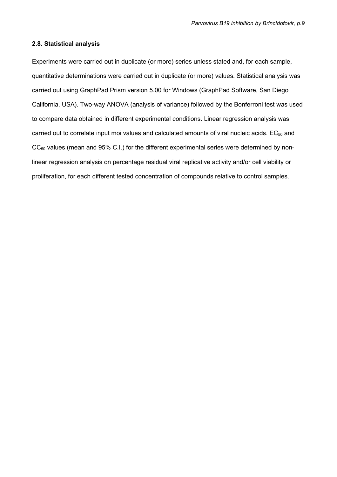#### 2.8. Statistical analysis

Experiments were carried out in duplicate (or more) series unless stated and, for each sample, quantitative determinations were carried out in duplicate (or more) values. Statistical analysis was carried out using GraphPad Prism version 5.00 for Windows (GraphPad Software, San Diego California, USA). Two-way ANOVA (analysis of variance) followed by the Bonferroni test was used to compare data obtained in different experimental conditions. Linear regression analysis was carried out to correlate input moi values and calculated amounts of viral nucleic acids. EC<sub>50</sub> and  $CC_{50}$  values (mean and 95% C.I.) for the different experimental series were determined by nonlinear regression analysis on percentage residual viral replicative activity and/or cell viability or proliferation, for each different tested concentration of compounds relative to control samples.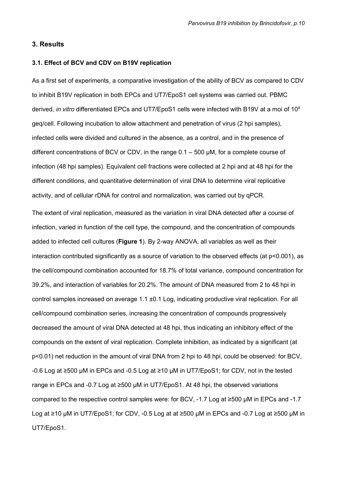## 3. Results

#### 3.1. Effect of BCV and CDV on B19V replication

As a first set of experiments, a comparative investigation of the ability of BCV as compared to CDV to inhibit B19V replication in both EPCs and UT7/EpoS1 cell systems was carried out. PBMC derived, in vitro differentiated EPCs and UT7/EpoS1 cells were infected with B19V at a moi of 10<sup>4</sup> geq/cell. Following incubation to allow attachment and penetration of virus (2 hpi samples), infected cells were divided and cultured in the absence, as a control, and in the presence of different concentrations of BCV or CDV, in the range 0.1 – 500 µM, for a complete course of infection (48 hpi samples). Equivalent cell fractions were collected at 2 hpi and at 48 hpi for the different conditions, and quantitative determination of viral DNA to determine viral replicative activity, and of cellular rDNA for control and normalization, was carried out by qPCR.

The extent of viral replication, measured as the variation in viral DNA detected after a course of infection, varied in function of the cell type, the compound, and the concentration of compounds added to infected cell cultures (Figure 1). By 2-way ANOVA, all variables as well as their interaction contributed significantly as a source of variation to the observed effects (at p<0.001), as the cell/compound combination accounted for 18.7% of total variance, compound concentration for 39.2%, and interaction of variables for 20.2%. The amount of DNA measured from 2 to 48 hpi in control samples increased on average 1.1 ±0.1 Log, indicating productive viral replication. For all cell/compound combination series, increasing the concentration of compounds progressively decreased the amount of viral DNA detected at 48 hpi, thus indicating an inhibitory effect of the compounds on the extent of viral replication. Complete inhibition, as indicated by a significant (at p<0.01) net reduction in the amount of viral DNA from 2 hpi to 48 hpi, could be observed: for BCV, -0.6 Log at ≥500 µM in EPCs and -0.5 Log at ≥10 µM in UT7/EpoS1; for CDV, not in the tested range in EPCs and -0.7 Log at ≥500 µM in UT7/EpoS1. At 48 hpi, the observed variations compared to the respective control samples were: for BCV, -1.7 Log at ≥500 µM in EPCs and -1.7 Log at ≥10 µM in UT7/EpoS1; for CDV, -0.5 Log at at ≥500 µM in EPCs and -0.7 Log at ≥500 µM in UT7/EpoS1.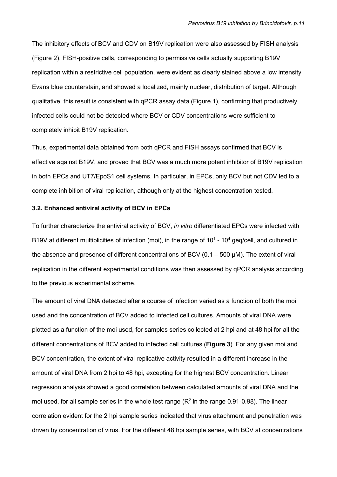The inhibitory effects of BCV and CDV on B19V replication were also assessed by FISH analysis (Figure 2). FISH-positive cells, corresponding to permissive cells actually supporting B19V replication within a restrictive cell population, were evident as clearly stained above a low intensity Evans blue counterstain, and showed a localized, mainly nuclear, distribution of target. Although qualitative, this result is consistent with qPCR assay data (Figure 1), confirming that productively infected cells could not be detected where BCV or CDV concentrations were sufficient to completely inhibit B19V replication.

Thus, experimental data obtained from both qPCR and FISH assays confirmed that BCV is effective against B19V, and proved that BCV was a much more potent inhibitor of B19V replication in both EPCs and UT7/EpoS1 cell systems. In particular, in EPCs, only BCV but not CDV led to a complete inhibition of viral replication, although only at the highest concentration tested.

#### 3.2. Enhanced antiviral activity of BCV in EPCs

To further characterize the antiviral activity of BCV, in vitro differentiated EPCs were infected with B19V at different multiplicities of infection (moi), in the range of  $10<sup>1</sup>$  - 10<sup>4</sup> geq/cell, and cultured in the absence and presence of different concentrations of BCV (0.1 – 500 µM). The extent of viral replication in the different experimental conditions was then assessed by qPCR analysis according to the previous experimental scheme.

The amount of viral DNA detected after a course of infection varied as a function of both the moi used and the concentration of BCV added to infected cell cultures. Amounts of viral DNA were plotted as a function of the moi used, for samples series collected at 2 hpi and at 48 hpi for all the different concentrations of BCV added to infected cell cultures (**Figure 3**). For any given moi and BCV concentration, the extent of viral replicative activity resulted in a different increase in the amount of viral DNA from 2 hpi to 48 hpi, excepting for the highest BCV concentration. Linear regression analysis showed a good correlation between calculated amounts of viral DNA and the moi used, for all sample series in the whole test range  $(R^2$  in the range 0.91-0.98). The linear correlation evident for the 2 hpi sample series indicated that virus attachment and penetration was driven by concentration of virus. For the different 48 hpi sample series, with BCV at concentrations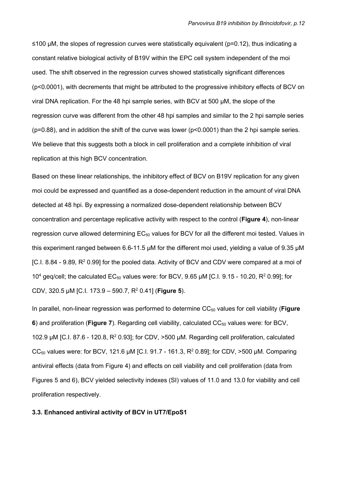≤100 µM, the slopes of regression curves were statistically equivalent (p=0.12), thus indicating a constant relative biological activity of B19V within the EPC cell system independent of the moi used. The shift observed in the regression curves showed statistically significant differences (p<0.0001), with decrements that might be attributed to the progressive inhibitory effects of BCV on viral DNA replication. For the 48 hpi sample series, with BCV at 500 µM, the slope of the regression curve was different from the other 48 hpi samples and similar to the 2 hpi sample series ( $p=0.88$ ), and in addition the shift of the curve was lower ( $p<0.0001$ ) than the 2 hpi sample series. We believe that this suggests both a block in cell proliferation and a complete inhibition of viral replication at this high BCV concentration.

Based on these linear relationships, the inhibitory effect of BCV on B19V replication for any given moi could be expressed and quantified as a dose-dependent reduction in the amount of viral DNA detected at 48 hpi. By expressing a normalized dose-dependent relationship between BCV concentration and percentage replicative activity with respect to the control (Figure 4), non-linear regression curve allowed determining  $EC_{50}$  values for BCV for all the different moi tested. Values in this experiment ranged between 6.6-11.5 µM for the different moi used, yielding a value of 9.35 µM [C.I. 8.84 - 9.89, R<sup>2</sup> 0.99] for the pooled data. Activity of BCV and CDV were compared at a moi of 10<sup>4</sup> geq/cell; the calculated EC<sub>50</sub> values were: for BCV, 9.65  $\mu$ M [C.I. 9.15 - 10.20, R<sup>2</sup> 0.99]; for CDV, 320.5  $\mu$ M [C.I. 173.9 – 590.7, R<sup>2</sup> 0.41] (Figure 5).

In parallel, non-linear regression was performed to determine CC<sub>50</sub> values for cell viability (Figure 6) and proliferation (Figure 7). Regarding cell viability, calculated  $CC_{50}$  values were: for BCV, 102.9  $\mu$ M [C.I. 87.6 - 120.8, R<sup>2</sup> 0.93]; for CDV, >500  $\mu$ M. Regarding cell proliferation, calculated CC<sub>50</sub> values were: for BCV, 121.6  $\mu$ M [C.I. 91.7 - 161.3, R<sup>2</sup> 0.89]; for CDV, >500  $\mu$ M. Comparing antiviral effects (data from Figure 4) and effects on cell viability and cell proliferation (data from Figures 5 and 6), BCV yielded selectivity indexes (SI) values of 11.0 and 13.0 for viability and cell proliferation respectively.

#### 3.3. Enhanced antiviral activity of BCV in UT7/EpoS1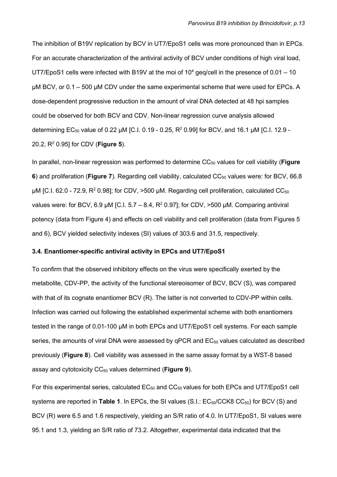The inhibition of B19V replication by BCV in UT7/EpoS1 cells was more pronounced than in EPCs. For an accurate characterization of the antiviral activity of BCV under conditions of high viral load, UT7/EpoS1 cells were infected with B19V at the moi of  $10<sup>4</sup>$  geq/cell in the presence of 0.01 – 10 µM BCV, or 0.1 – 500 µM CDV under the same experimental scheme that were used for EPCs. A dose-dependent progressive reduction in the amount of viral DNA detected at 48 hpi samples could be observed for both BCV and CDV. Non-linear regression curve analysis allowed determining EC<sub>50</sub> value of 0.22  $\mu$ M [C.I. 0.19 - 0.25, R<sup>2</sup> 0.99] for BCV, and 16.1  $\mu$ M [C.I. 12.9 -20.2,  $R^2$  0.95] for CDV (Figure 5).

In parallel, non-linear regression was performed to determine  $CC_{50}$  values for cell viability (Figure 6) and proliferation (Figure 7). Regarding cell viability, calculated  $CC_{50}$  values were: for BCV, 66.8  $\mu$ M [C.I. 62.0 - 72.9, R<sup>2</sup> 0.98]; for CDV, >500  $\mu$ M. Regarding cell proliferation, calculated CC<sub>50</sub> values were: for BCV, 6.9  $\mu$ M [C.I. 5.7 – 8.4, R<sup>2</sup> 0.97]; for CDV, >500  $\mu$ M. Comparing antiviral potency (data from Figure 4) and effects on cell viability and cell proliferation (data from Figures 5 and 6), BCV yielded selectivity indexes (SI) values of 303.6 and 31.5, respectively.

#### 3.4. Enantiomer-specific antiviral activity in EPCs and UT7/EpoS1

To confirm that the observed inhibitory effects on the virus were specifically exerted by the metabolite, CDV-PP, the activity of the functional stereoisomer of BCV, BCV (S), was compared with that of its cognate enantiomer BCV (R). The latter is not converted to CDV-PP within cells. Infection was carried out following the established experimental scheme with both enantiomers tested in the range of 0.01-100 µM in both EPCs and UT7/EpoS1 cell systems. For each sample series, the amounts of viral DNA were assessed by  $qPCR$  and  $EC_{50}$  values calculated as described previously (Figure 8). Cell viability was assessed in the same assay format by a WST-8 based assay and cytotoxicity  $CC_{50}$  values determined (Figure 9).

For this experimental series, calculated  $EC_{50}$  and  $CC_{50}$  values for both EPCs and UT7/EpoS1 cell systems are reported in Table 1. In EPCs, the SI values  $(S.I.: EC_{50}/CCK8 CC_{50})$  for BCV (S) and BCV (R) were 6.5 and 1.6 respectively, yielding an S/R ratio of 4.0. In UT7/EpoS1, SI values were 95.1 and 1.3, yielding an S/R ratio of 73.2. Altogether, experimental data indicated that the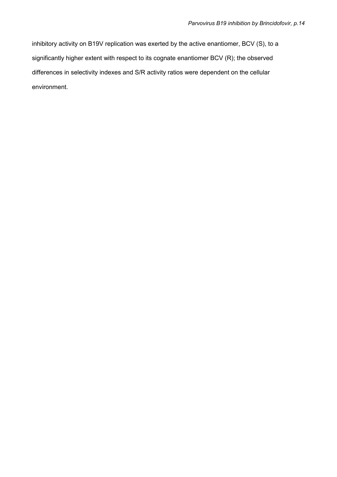inhibitory activity on B19V replication was exerted by the active enantiomer, BCV (S), to a significantly higher extent with respect to its cognate enantiomer BCV (R); the observed differences in selectivity indexes and S/R activity ratios were dependent on the cellular environment.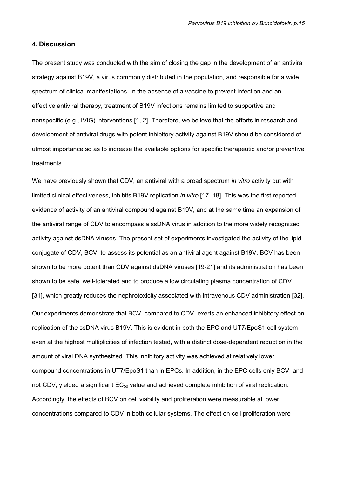#### 4. Discussion

The present study was conducted with the aim of closing the gap in the development of an antiviral strategy against B19V, a virus commonly distributed in the population, and responsible for a wide spectrum of clinical manifestations. In the absence of a vaccine to prevent infection and an effective antiviral therapy, treatment of B19V infections remains limited to supportive and nonspecific (e.g., IVIG) interventions [1, 2]. Therefore, we believe that the efforts in research and development of antiviral drugs with potent inhibitory activity against B19V should be considered of utmost importance so as to increase the available options for specific therapeutic and/or preventive treatments.

We have previously shown that CDV, an antiviral with a broad spectrum *in vitro* activity but with limited clinical effectiveness, inhibits B19V replication in vitro [17, 18]. This was the first reported evidence of activity of an antiviral compound against B19V, and at the same time an expansion of the antiviral range of CDV to encompass a ssDNA virus in addition to the more widely recognized activity against dsDNA viruses. The present set of experiments investigated the activity of the lipid conjugate of CDV, BCV, to assess its potential as an antiviral agent against B19V. BCV has been shown to be more potent than CDV against dsDNA viruses [19-21] and its administration has been shown to be safe, well-tolerated and to produce a low circulating plasma concentration of CDV [31], which greatly reduces the nephrotoxicity associated with intravenous CDV administration [32]. Our experiments demonstrate that BCV, compared to CDV, exerts an enhanced inhibitory effect on replication of the ssDNA virus B19V. This is evident in both the EPC and UT7/EpoS1 cell system even at the highest multiplicities of infection tested, with a distinct dose-dependent reduction in the amount of viral DNA synthesized. This inhibitory activity was achieved at relatively lower compound concentrations in UT7/EpoS1 than in EPCs. In addition, in the EPC cells only BCV, and not CDV, yielded a significant  $EC_{50}$  value and achieved complete inhibition of viral replication. Accordingly, the effects of BCV on cell viability and proliferation were measurable at lower concentrations compared to CDV in both cellular systems. The effect on cell proliferation were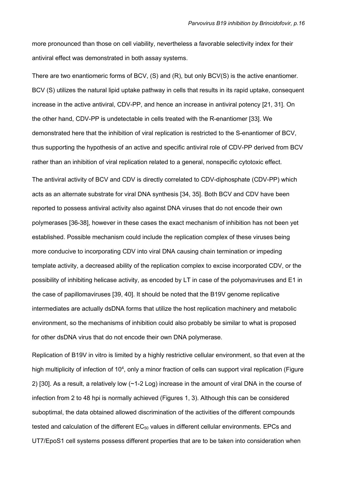more pronounced than those on cell viability, nevertheless a favorable selectivity index for their antiviral effect was demonstrated in both assay systems.

There are two enantiomeric forms of BCV, (S) and (R), but only BCV(S) is the active enantiomer. BCV (S) utilizes the natural lipid uptake pathway in cells that results in its rapid uptake, consequent increase in the active antiviral, CDV-PP, and hence an increase in antiviral potency [21, 31]. On the other hand, CDV-PP is undetectable in cells treated with the R-enantiomer [33]. We demonstrated here that the inhibition of viral replication is restricted to the S-enantiomer of BCV, thus supporting the hypothesis of an active and specific antiviral role of CDV-PP derived from BCV rather than an inhibition of viral replication related to a general, nonspecific cytotoxic effect.

The antiviral activity of BCV and CDV is directly correlated to CDV-diphosphate (CDV-PP) which acts as an alternate substrate for viral DNA synthesis [34, 35]. Both BCV and CDV have been reported to possess antiviral activity also against DNA viruses that do not encode their own polymerases [36-38], however in these cases the exact mechanism of inhibition has not been yet established. Possible mechanism could include the replication complex of these viruses being more conducive to incorporating CDV into viral DNA causing chain termination or impeding template activity, a decreased ability of the replication complex to excise incorporated CDV, or the possibility of inhibiting helicase activity, as encoded by LT in case of the polyomaviruses and E1 in the case of papillomaviruses [39, 40]. It should be noted that the B19V genome replicative intermediates are actually dsDNA forms that utilize the host replication machinery and metabolic environment, so the mechanisms of inhibition could also probably be similar to what is proposed for other dsDNA virus that do not encode their own DNA polymerase.

Replication of B19V in vitro is limited by a highly restrictive cellular environment, so that even at the high multiplicity of infection of 10<sup>4</sup>, only a minor fraction of cells can support viral replication (Figure 2) [30]. As a result, a relatively low (~1-2 Log) increase in the amount of viral DNA in the course of infection from 2 to 48 hpi is normally achieved (Figures 1, 3). Although this can be considered suboptimal, the data obtained allowed discrimination of the activities of the different compounds tested and calculation of the different  $EC_{50}$  values in different cellular environments. EPCs and UT7/EpoS1 cell systems possess different properties that are to be taken into consideration when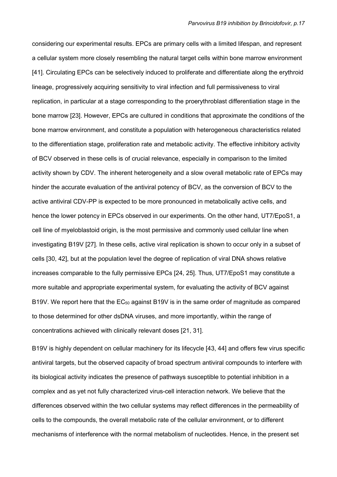considering our experimental results. EPCs are primary cells with a limited lifespan, and represent a cellular system more closely resembling the natural target cells within bone marrow environment [41]. Circulating EPCs can be selectively induced to proliferate and differentiate along the erythroid lineage, progressively acquiring sensitivity to viral infection and full permissiveness to viral replication, in particular at a stage corresponding to the proerythroblast differentiation stage in the bone marrow [23]. However, EPCs are cultured in conditions that approximate the conditions of the bone marrow environment, and constitute a population with heterogeneous characteristics related to the differentiation stage, proliferation rate and metabolic activity. The effective inhibitory activity of BCV observed in these cells is of crucial relevance, especially in comparison to the limited activity shown by CDV. The inherent heterogeneity and a slow overall metabolic rate of EPCs may hinder the accurate evaluation of the antiviral potency of BCV, as the conversion of BCV to the active antiviral CDV-PP is expected to be more pronounced in metabolically active cells, and hence the lower potency in EPCs observed in our experiments. On the other hand, UT7/EpoS1, a cell line of myeloblastoid origin, is the most permissive and commonly used cellular line when investigating B19V [27]. In these cells, active viral replication is shown to occur only in a subset of cells [30, 42], but at the population level the degree of replication of viral DNA shows relative increases comparable to the fully permissive EPCs [24, 25]. Thus, UT7/EpoS1 may constitute a more suitable and appropriate experimental system, for evaluating the activity of BCV against B19V. We report here that the  $EC_{50}$  against B19V is in the same order of magnitude as compared to those determined for other dsDNA viruses, and more importantly, within the range of concentrations achieved with clinically relevant doses [21, 31].

B19V is highly dependent on cellular machinery for its lifecycle [43, 44] and offers few virus specific antiviral targets, but the observed capacity of broad spectrum antiviral compounds to interfere with its biological activity indicates the presence of pathways susceptible to potential inhibition in a complex and as yet not fully characterized virus-cell interaction network. We believe that the differences observed within the two cellular systems may reflect differences in the permeability of cells to the compounds, the overall metabolic rate of the cellular environment, or to different mechanisms of interference with the normal metabolism of nucleotides. Hence, in the present set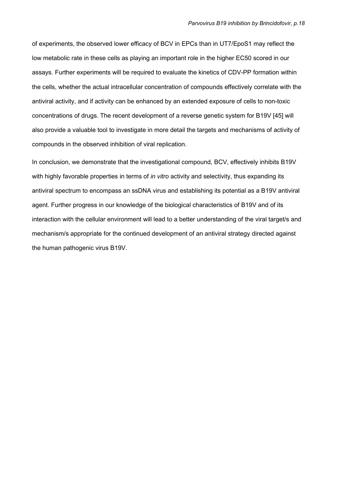of experiments, the observed lower efficacy of BCV in EPCs than in UT7/EpoS1 may reflect the low metabolic rate in these cells as playing an important role in the higher EC50 scored in our assays. Further experiments will be required to evaluate the kinetics of CDV-PP formation within the cells, whether the actual intracellular concentration of compounds effectively correlate with the antiviral activity, and if activity can be enhanced by an extended exposure of cells to non-toxic concentrations of drugs. The recent development of a reverse genetic system for B19V [45] will also provide a valuable tool to investigate in more detail the targets and mechanisms of activity of compounds in the observed inhibition of viral replication.

In conclusion, we demonstrate that the investigational compound, BCV, effectively inhibits B19V with highly favorable properties in terms of in vitro activity and selectivity, thus expanding its antiviral spectrum to encompass an ssDNA virus and establishing its potential as a B19V antiviral agent. Further progress in our knowledge of the biological characteristics of B19V and of its interaction with the cellular environment will lead to a better understanding of the viral target/s and mechanism/s appropriate for the continued development of an antiviral strategy directed against the human pathogenic virus B19V.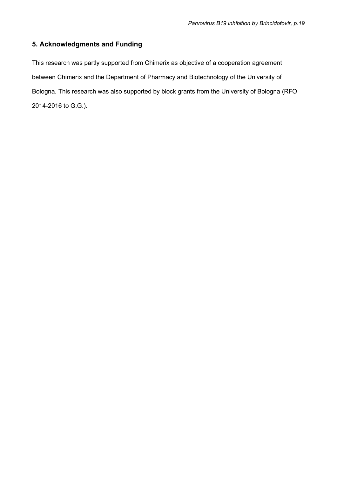## 5. Acknowledgments and Funding

This research was partly supported from Chimerix as objective of a cooperation agreement between Chimerix and the Department of Pharmacy and Biotechnology of the University of Bologna. This research was also supported by block grants from the University of Bologna (RFO 2014-2016 to G.G.).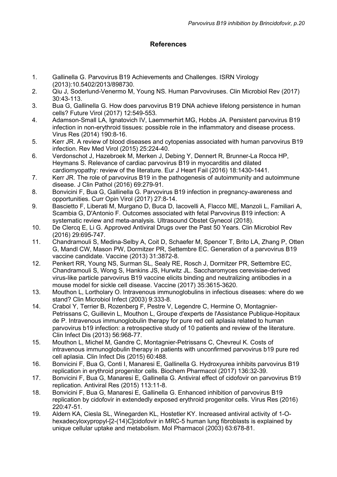## **References**

- 1. Gallinella G. Parvovirus B19 Achievements and Challenges. ISRN Virology (2013):10.5402/2013/898730.
- 2. Qiu J, Soderlund-Venermo M, Young NS. Human Parvoviruses. Clin Microbiol Rev (2017) 30:43-113.
- 3. Bua G, Gallinella G. How does parvovirus B19 DNA achieve lifelong persistence in human cells? Future Virol (2017) 12:549-553.
- 4. Adamson-Small LA, Ignatovich IV, Laemmerhirt MG, Hobbs JA. Persistent parvovirus B19 infection in non-erythroid tissues: possible role in the inflammatory and disease process. Virus Res (2014) 190:8-16.
- 5. Kerr JR. A review of blood diseases and cytopenias associated with human parvovirus B19 infection. Rev Med Virol (2015) 25:224-40.
- 6. Verdonschot J, Hazebroek M, Merken J, Debing Y, Dennert R, Brunner-La Rocca HP, Heymans S. Relevance of cardiac parvovirus B19 in myocarditis and dilated cardiomyopathy: review of the literature. Eur J Heart Fail (2016) 18:1430-1441.
- 7. Kerr JR. The role of parvovirus B19 in the pathogenesis of autoimmunity and autoimmune disease. J Clin Pathol (2016) 69:279-91.
- 8. Bonvicini F, Bua G, Gallinella G. Parvovirus B19 infection in pregnancy-awareness and opportunities. Curr Opin Virol (2017) 27:8-14.
- 9. Bascietto F, Liberati M, Murgano D, Buca D, Iacovelli A, Flacco ME, Manzoli L, Familiari A, Scambia G, D'Antonio F. Outcomes associated with fetal Parvovirus B19 infection: A systematic review and meta-analysis. Ultrasound Obstet Gynecol (2018).
- 10. De Clercq E, Li G. Approved Antiviral Drugs over the Past 50 Years. Clin Microbiol Rev (2016) 29:695-747.
- 11. Chandramouli S, Medina-Selby A, Coit D, Schaefer M, Spencer T, Brito LA, Zhang P, Otten G, Mandl CW, Mason PW, Dormitzer PR, Settembre EC. Generation of a parvovirus B19 vaccine candidate. Vaccine (2013) 31:3872-8.
- 12. Penkert RR, Young NS, Surman SL, Sealy RE, Rosch J, Dormitzer PR, Settembre EC, Chandramouli S, Wong S, Hankins JS, Hurwitz JL. Saccharomyces cerevisiae-derived virus-like particle parvovirus B19 vaccine elicits binding and neutralizing antibodies in a mouse model for sickle cell disease. Vaccine (2017) 35:3615-3620.
- 13. Mouthon L, Lortholary O. Intravenous immunoglobulins in infectious diseases: where do we stand? Clin Microbiol Infect (2003) 9:333-8.
- 14. Crabol Y, Terrier B, Rozenberg F, Pestre V, Legendre C, Hermine O, Montagnier-Petrissans C, Guillevin L, Mouthon L, Groupe d'experts de l'Assistance Publique-Hopitaux de P. Intravenous immunoglobulin therapy for pure red cell aplasia related to human parvovirus b19 infection: a retrospective study of 10 patients and review of the literature. Clin Infect Dis (2013) 56:968-77.
- 15. Mouthon L, Michel M, Gandre C, Montagnier-Petrissans C, Chevreul K. Costs of intravenous immunoglobulin therapy in patients with unconfirmed parvovirus b19 pure red cell aplasia. Clin Infect Dis (2015) 60:488.
- 16. Bonvicini F, Bua G, Conti I, Manaresi E, Gallinella G. Hydroxyurea inhibits parvovirus B19 replication in erythroid progenitor cells. Biochem Pharmacol (2017) 136:32-39.
- 17. Bonvicini F, Bua G, Manaresi E, Gallinella G. Antiviral effect of cidofovir on parvovirus B19 replication. Antiviral Res (2015) 113:11-8.
- 18. Bonvicini F, Bua G, Manaresi E, Gallinella G. Enhanced inhibition of parvovirus B19 replication by cidofovir in extendedly exposed erythroid progenitor cells. Virus Res (2016) 220:47-51.
- 19. Aldern KA, Ciesla SL, Winegarden KL, Hostetler KY. Increased antiviral activity of 1-Ohexadecyloxypropyl-[2-(14)C]cidofovir in MRC-5 human lung fibroblasts is explained by unique cellular uptake and metabolism. Mol Pharmacol (2003) 63:678-81.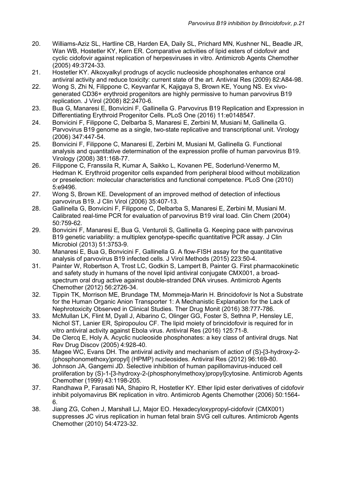- 20. Williams-Aziz SL, Hartline CB, Harden EA, Daily SL, Prichard MN, Kushner NL, Beadle JR, Wan WB, Hostetler KY, Kern ER. Comparative activities of lipid esters of cidofovir and cyclic cidofovir against replication of herpesviruses in vitro. Antimicrob Agents Chemother (2005) 49:3724-33.
- 21. Hostetler KY. Alkoxyalkyl prodrugs of acyclic nucleoside phosphonates enhance oral antiviral activity and reduce toxicity: current state of the art. Antiviral Res (2009) 82:A84-98.
- 22. Wong S, Zhi N, Filippone C, Keyvanfar K, Kajigaya S, Brown KE, Young NS. Ex vivogenerated CD36+ erythroid progenitors are highly permissive to human parvovirus B19 replication. J Virol (2008) 82:2470-6.
- 23. Bua G, Manaresi E, Bonvicini F, Gallinella G. Parvovirus B19 Replication and Expression in Differentiating Erythroid Progenitor Cells. PLoS One (2016) 11:e0148547.
- 24. Bonvicini F, Filippone C, Delbarba S, Manaresi E, Zerbini M, Musiani M, Gallinella G. Parvovirus B19 genome as a single, two-state replicative and transcriptional unit. Virology (2006) 347:447-54.
- 25. Bonvicini F, Filippone C, Manaresi E, Zerbini M, Musiani M, Gallinella G. Functional analysis and quantitative determination of the expression profile of human parvovirus B19. Virology (2008) 381:168-77.
- 26. Filippone C, Franssila R, Kumar A, Saikko L, Kovanen PE, Soderlund-Venermo M, Hedman K. Erythroid progenitor cells expanded from peripheral blood without mobilization or preselection: molecular characteristics and functional competence. PLoS One (2010) 5:e9496.
- 27. Wong S, Brown KE. Development of an improved method of detection of infectious parvovirus B19. J Clin Virol (2006) 35:407-13.
- 28. Gallinella G, Bonvicini F, Filippone C, Delbarba S, Manaresi E, Zerbini M, Musiani M. Calibrated real-time PCR for evaluation of parvovirus B19 viral load. Clin Chem (2004) 50:759-62.
- 29. Bonvicini F, Manaresi E, Bua G, Venturoli S, Gallinella G. Keeping pace with parvovirus B19 genetic variability: a multiplex genotype-specific quantitative PCR assay. J Clin Microbiol (2013) 51:3753-9.
- 30. Manaresi E, Bua G, Bonvicini F, Gallinella G. A flow-FISH assay for the quantitative analysis of parvovirus B19 infected cells. J Virol Methods (2015) 223:50-4.
- 31. Painter W, Robertson A, Trost LC, Godkin S, Lampert B, Painter G. First pharmacokinetic and safety study in humans of the novel lipid antiviral conjugate CMX001, a broadspectrum oral drug active against double-stranded DNA viruses. Antimicrob Agents Chemother (2012) 56:2726-34.
- 32. Tippin TK, Morrison ME, Brundage TM, Mommeja-Marin H. Brincidofovir Is Not a Substrate for the Human Organic Anion Transporter 1: A Mechanistic Explanation for the Lack of Nephrotoxicity Observed in Clinical Studies. Ther Drug Monit (2016) 38:777-786.
- 33. McMullan LK, Flint M, Dyall J, Albarino C, Olinger GG, Foster S, Sethna P, Hensley LE, Nichol ST, Lanier ER, Spiropoulou CF. The lipid moiety of brincidofovir is required for in vitro antiviral activity against Ebola virus. Antiviral Res (2016) 125:71-8.
- 34. De Clercq E, Holy A. Acyclic nucleoside phosphonates: a key class of antiviral drugs. Nat Rev Drug Discov (2005) 4:928-40.
- 35. Magee WC, Evans DH. The antiviral activity and mechanism of action of (S)-[3-hydroxy-2- (phosphonomethoxy)propyl] (HPMP) nucleosides. Antiviral Res (2012) 96:169-80.
- 36. Johnson JA, Gangemi JD. Selective inhibition of human papillomavirus-induced cell proliferation by (S)-1-[3-hydroxy-2-(phosphonylmethoxy)propyl]cytosine. Antimicrob Agents Chemother (1999) 43:1198-205.
- 37. Randhawa P, Farasati NA, Shapiro R, Hostetler KY. Ether lipid ester derivatives of cidofovir inhibit polyomavirus BK replication in vitro. Antimicrob Agents Chemother (2006) 50:1564- 6.
- 38. Jiang ZG, Cohen J, Marshall LJ, Major EO. Hexadecyloxypropyl-cidofovir (CMX001) suppresses JC virus replication in human fetal brain SVG cell cultures. Antimicrob Agents Chemother (2010) 54:4723-32.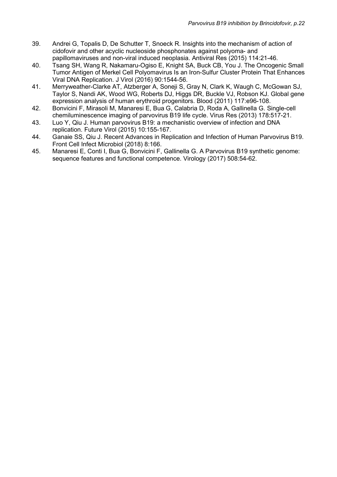- 39. Andrei G, Topalis D, De Schutter T, Snoeck R. Insights into the mechanism of action of cidofovir and other acyclic nucleoside phosphonates against polyoma- and papillomaviruses and non-viral induced neoplasia. Antiviral Res (2015) 114:21-46.
- 40. Tsang SH, Wang R, Nakamaru-Ogiso E, Knight SA, Buck CB, You J. The Oncogenic Small Tumor Antigen of Merkel Cell Polyomavirus Is an Iron-Sulfur Cluster Protein That Enhances Viral DNA Replication. J Virol (2016) 90:1544-56.
- 41. Merryweather-Clarke AT, Atzberger A, Soneji S, Gray N, Clark K, Waugh C, McGowan SJ, Taylor S, Nandi AK, Wood WG, Roberts DJ, Higgs DR, Buckle VJ, Robson KJ. Global gene expression analysis of human erythroid progenitors. Blood (2011) 117:e96-108.
- 42. Bonvicini F, Mirasoli M, Manaresi E, Bua G, Calabria D, Roda A, Gallinella G. Single-cell chemiluminescence imaging of parvovirus B19 life cycle. Virus Res (2013) 178:517-21.
- 43. Luo Y, Qiu J. Human parvovirus B19: a mechanistic overview of infection and DNA replication. Future Virol (2015) 10:155-167.
- 44. Ganaie SS, Qiu J. Recent Advances in Replication and Infection of Human Parvovirus B19. Front Cell Infect Microbiol (2018) 8:166.
- 45. Manaresi E, Conti I, Bua G, Bonvicini F, Gallinella G. A Parvovirus B19 synthetic genome: sequence features and functional competence. Virology (2017) 508:54-62.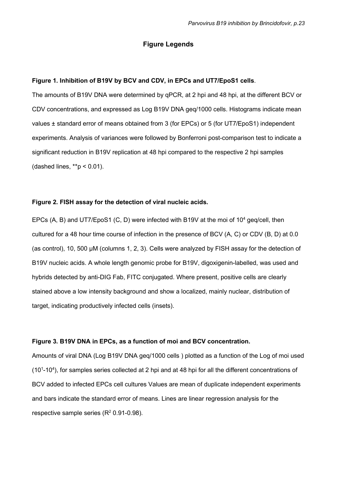### Figure Legends

#### Figure 1. Inhibition of B19V by BCV and CDV, in EPCs and UT7/EpoS1 cells.

The amounts of B19V DNA were determined by qPCR, at 2 hpi and 48 hpi, at the different BCV or CDV concentrations, and expressed as Log B19V DNA geq/1000 cells. Histograms indicate mean values ± standard error of means obtained from 3 (for EPCs) or 5 (for UT7/EpoS1) independent experiments. Analysis of variances were followed by Bonferroni post-comparison test to indicate a significant reduction in B19V replication at 48 hpi compared to the respective 2 hpi samples (dashed lines,  $**p < 0.01$ ).

#### Figure 2. FISH assay for the detection of viral nucleic acids.

EPCs (A, B) and UT7/EpoS1 (C, D) were infected with B19V at the moi of  $10^4$  geq/cell, then cultured for a 48 hour time course of infection in the presence of BCV (A, C) or CDV (B, D) at 0.0 (as control), 10, 500 µM (columns 1, 2, 3). Cells were analyzed by FISH assay for the detection of B19V nucleic acids. A whole length genomic probe for B19V, digoxigenin-labelled, was used and hybrids detected by anti-DIG Fab, FITC conjugated. Where present, positive cells are clearly stained above a low intensity background and show a localized, mainly nuclear, distribution of target, indicating productively infected cells (insets).

#### Figure 3. B19V DNA in EPCs, as a function of moi and BCV concentration.

Amounts of viral DNA (Log B19V DNA geq/1000 cells ) plotted as a function of the Log of moi used (10<sup>1</sup>-10<sup>4</sup>), for samples series collected at 2 hpi and at 48 hpi for all the different concentrations of BCV added to infected EPCs cell cultures Values are mean of duplicate independent experiments and bars indicate the standard error of means. Lines are linear regression analysis for the respective sample series  $(R^2 0.91 - 0.98)$ .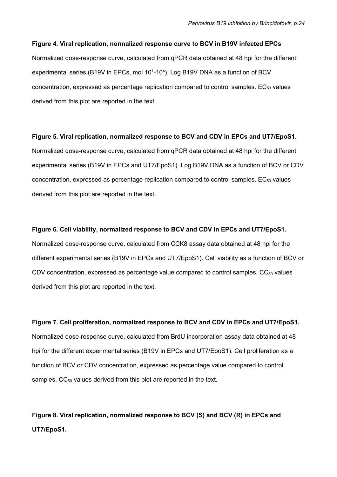#### Figure 4. Viral replication, normalized response curve to BCV in B19V infected EPCs

Normalized dose-response curve, calculated from qPCR data obtained at 48 hpi for the different experimental series (B19V in EPCs, moi  $10<sup>1</sup>$ -10<sup>4</sup>). Log B19V DNA as a function of BCV concentration, expressed as percentage replication compared to control samples.  $EC_{50}$  values derived from this plot are reported in the text.

#### Figure 5. Viral replication, normalized response to BCV and CDV in EPCs and UT7/EpoS1.

Normalized dose-response curve, calculated from qPCR data obtained at 48 hpi for the different experimental series (B19V in EPCs and UT7/EpoS1). Log B19V DNA as a function of BCV or CDV concentration, expressed as percentage replication compared to control samples.  $EC_{50}$  values derived from this plot are reported in the text.

#### Figure 6. Cell viability, normalized response to BCV and CDV in EPCs and UT7/EpoS1.

Normalized dose-response curve, calculated from CCK8 assay data obtained at 48 hpi for the different experimental series (B19V in EPCs and UT7/EpoS1). Cell viability as a function of BCV or CDV concentration, expressed as percentage value compared to control samples.  $CC_{50}$  values derived from this plot are reported in the text.

Figure 7. Cell proliferation, normalized response to BCV and CDV in EPCs and UT7/EpoS1. Normalized dose-response curve, calculated from BrdU incorporation assay data obtained at 48 hpi for the different experimental series (B19V in EPCs and UT7/EpoS1). Cell proliferation as a function of BCV or CDV concentration, expressed as percentage value compared to control samples. CC<sub>50</sub> values derived from this plot are reported in the text.

Figure 8. Viral replication, normalized response to BCV (S) and BCV (R) in EPCs and UT7/EpoS1.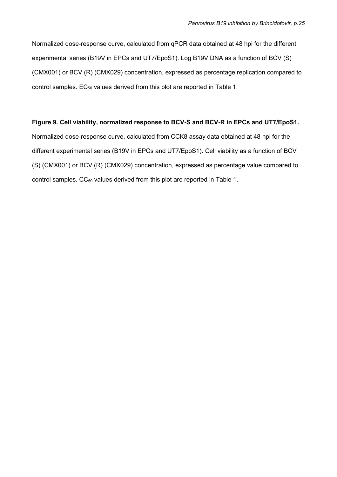Normalized dose-response curve, calculated from qPCR data obtained at 48 hpi for the different experimental series (B19V in EPCs and UT7/EpoS1). Log B19V DNA as a function of BCV (S) (CMX001) or BCV (R) (CMX029) concentration, expressed as percentage replication compared to control samples.  $EC_{50}$  values derived from this plot are reported in Table 1.

### Figure 9. Cell viability, normalized response to BCV-S and BCV-R in EPCs and UT7/EpoS1.

Normalized dose-response curve, calculated from CCK8 assay data obtained at 48 hpi for the different experimental series (B19V in EPCs and UT7/EpoS1). Cell viability as a function of BCV (S) (CMX001) or BCV (R) (CMX029) concentration, expressed as percentage value compared to control samples.  $CC_{50}$  values derived from this plot are reported in Table 1.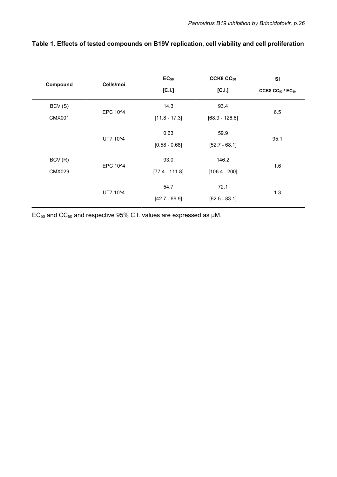| Compound      | Cells/moi | $EC_{50}$        | CCK8 CC <sub>50</sub> | <b>SI</b>                  |
|---------------|-----------|------------------|-----------------------|----------------------------|
|               |           | [C.I.]           | [C.I.]                | CCK8 $CC_{50}$ / $EC_{50}$ |
| BCV(S)        | EPC 10^4  | 14.3             | 93.4                  | 6.5                        |
| <b>CMX001</b> |           | $[11.8 - 17.3]$  | $[68.9 - 126.6]$      |                            |
|               | UT7 10^4  | 0.63             | 59.9                  | 95.1                       |
|               |           | $[0.58 - 0.68]$  | $[52.7 - 68.1]$       |                            |
| BCV(R)        | EPC 10^4  | 93.0             | 146.2                 | 1.6                        |
| <b>CMX029</b> |           | $[77.4 - 111.8]$ | $[106.4 - 200]$       |                            |
|               | UT7 10^4  | 54.7             | 72.1                  | 1.3                        |
|               |           | $[42.7 - 69.9]$  | $[62.5 - 83.1]$       |                            |
|               |           |                  |                       |                            |

## Table 1. Effects of tested compounds on B19V replication, cell viability and cell proliferation

 $EC_{50}$  and  $CC_{50}$  and respective 95% C.I. values are expressed as  $\mu$ M.